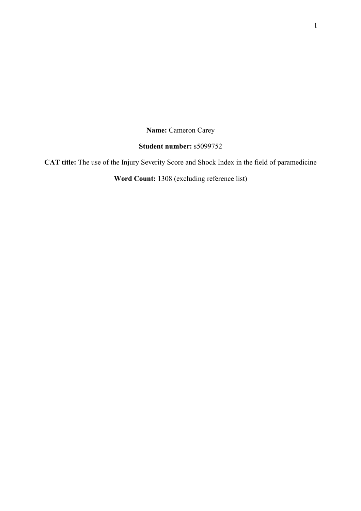**Name:** Cameron Carey

# **Student number:** s5099752

**CAT title:** The use of the Injury Severity Score and Shock Index in the field of paramedicine

**Word Count:** 1308 (excluding reference list)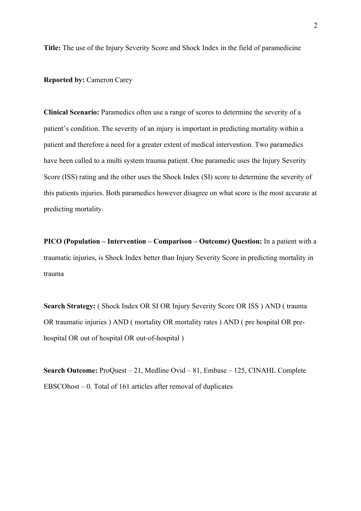**Title:** The use of the Injury Severity Score and Shock Index in the field of paramedicine

**Reported by: Cameron Carey** 

**Clinical Scenario:** Paramedics often use a range of scores to determine the severity of a patient's condition. The severity of an injury is important in predicting mortality within a patient and therefore a need for a greater extent of medical intervention. Two paramedics have been called to a multi system trauma patient. One paramedic uses the Injury Severity Score (ISS) rating and the other uses the Shock Index (SI) score to determine the severity of this patients injuries. Both paramedics however disagree on what score is the most accurate at predicting mortality.

**PICO (Population – Intervention – Comparison – Outcome) Question:** In a patient with a traumatic injuries, is Shock Index better than Injury Severity Score in predicting mortality in trauma

Search Strategy: (Shock Index OR SI OR Injury Severity Score OR ISS) AND (trauma OR traumatic injuries ) AND ( mortality OR mortality rates ) AND ( pre hospital OR prehospital OR out of hospital OR out-of-hospital )

**Search Outcome:** ProQuest – 21, Medline Ovid – 81, Embase – 125, CINAHL Complete EBSCOhost – 0. Total of 161 articles after removal of duplicates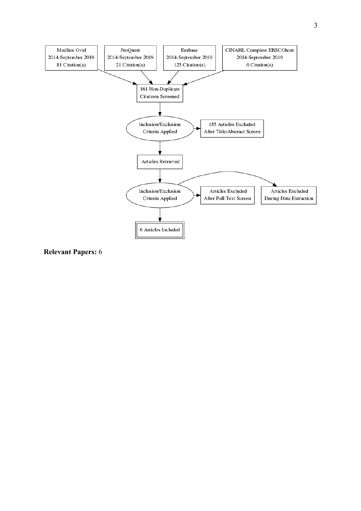

**Relevant Papers:** 6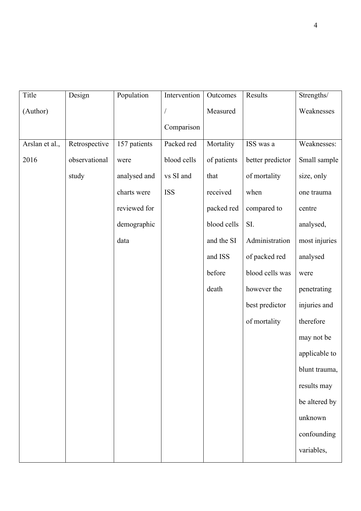| Title          | Design        | Population   | Intervention | Outcomes    | Results          | Strengths/    |
|----------------|---------------|--------------|--------------|-------------|------------------|---------------|
| (Author)       |               |              |              | Measured    |                  | Weaknesses    |
|                |               |              | Comparison   |             |                  |               |
| Arslan et al., | Retrospective | 157 patients | Packed red   | Mortality   | ISS was a        | Weaknesses:   |
| 2016           | observational | were         | blood cells  | of patients | better predictor | Small sample  |
|                | study         | analysed and | vs SI and    | that        | of mortality     | size, only    |
|                |               | charts were  | <b>ISS</b>   | received    | when             | one trauma    |
|                |               | reviewed for |              | packed red  | compared to      | centre        |
|                |               | demographic  |              | blood cells | SI.              | analysed,     |
|                |               | data         |              | and the SI  | Administration   | most injuries |
|                |               |              |              | and ISS     | of packed red    | analysed      |
|                |               |              |              | before      | blood cells was  | were          |
|                |               |              |              | death       | however the      | penetrating   |
|                |               |              |              |             | best predictor   | injuries and  |
|                |               |              |              |             | of mortality     | therefore     |
|                |               |              |              |             |                  | may not be    |
|                |               |              |              |             |                  | applicable to |
|                |               |              |              |             |                  | blunt trauma, |
|                |               |              |              |             |                  | results may   |
|                |               |              |              |             |                  | be altered by |
|                |               |              |              |             |                  | unknown       |
|                |               |              |              |             |                  | confounding   |
|                |               |              |              |             |                  | variables,    |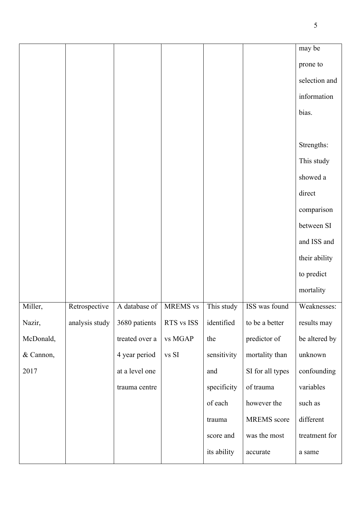|           |                |                |            |             |                    | may be        |
|-----------|----------------|----------------|------------|-------------|--------------------|---------------|
|           |                |                |            |             |                    | prone to      |
|           |                |                |            |             |                    | selection and |
|           |                |                |            |             |                    | information   |
|           |                |                |            |             |                    | bias.         |
|           |                |                |            |             |                    |               |
|           |                |                |            |             |                    | Strengths:    |
|           |                |                |            |             |                    | This study    |
|           |                |                |            |             |                    | showed a      |
|           |                |                |            |             |                    | direct        |
|           |                |                |            |             |                    | comparison    |
|           |                |                |            |             |                    | between SI    |
|           |                |                |            |             |                    | and ISS and   |
|           |                |                |            |             |                    | their ability |
|           |                |                |            |             |                    | to predict    |
|           |                |                |            |             |                    | mortality     |
| Miller,   | Retrospective  | A database of  | MREMS vs   | This study  | ISS was found      | Weaknesses:   |
| Nazir,    | analysis study | 3680 patients  | RTS vs ISS | identified  | to be a better     | results may   |
| McDonald, |                | treated over a | vs MGAP    | the         | predictor of       | be altered by |
| & Cannon, |                | 4 year period  | vs SI      | sensitivity | mortality than     | unknown       |
| 2017      |                | at a level one |            | and         | SI for all types   | confounding   |
|           |                | trauma centre  |            | specificity | of trauma          | variables     |
|           |                |                |            | of each     | however the        | such as       |
|           |                |                |            | trauma      | <b>MREMS</b> score | different     |
|           |                |                |            | score and   | was the most       | treatment for |
|           |                |                |            | its ability | accurate           | a same        |
|           |                |                |            |             |                    |               |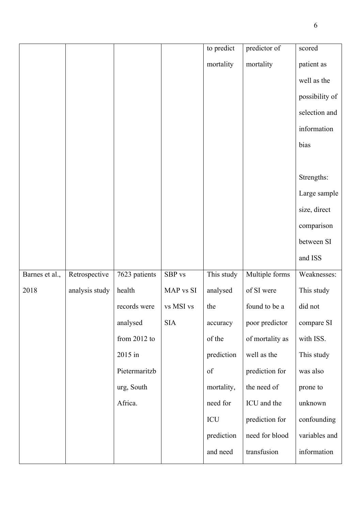|                |                |                |            | to predict | predictor of    | scored         |
|----------------|----------------|----------------|------------|------------|-----------------|----------------|
|                |                |                |            | mortality  | mortality       | patient as     |
|                |                |                |            |            |                 | well as the    |
|                |                |                |            |            |                 | possibility of |
|                |                |                |            |            |                 | selection and  |
|                |                |                |            |            |                 | information    |
|                |                |                |            |            |                 | bias           |
|                |                |                |            |            |                 |                |
|                |                |                |            |            |                 | Strengths:     |
|                |                |                |            |            |                 | Large sample   |
|                |                |                |            |            |                 | size, direct   |
|                |                |                |            |            |                 | comparison     |
|                |                |                |            |            |                 | between SI     |
|                |                |                |            |            |                 | and ISS        |
| Barnes et al., | Retrospective  | 7623 patients  | SBP vs     | This study | Multiple forms  | Weaknesses:    |
| 2018           | analysis study | health         | MAP vs SI  | analysed   | of SI were      | This study     |
|                |                | records were   | vs MSI vs  | the        | found to be a   | did not        |
|                |                | analysed       | <b>SIA</b> | accuracy   | poor predictor  | compare SI     |
|                |                | from $2012$ to |            | of the     | of mortality as | with ISS.      |
|                |                | 2015 in        |            | prediction | well as the     | This study     |
|                |                | Pietermaritzb  |            | $\sigma f$ | prediction for  | was also       |
|                |                | urg, South     |            | mortality, | the need of     | prone to       |
|                |                | Africa.        |            | need for   | ICU and the     | unknown        |
|                |                |                |            | ICU        | prediction for  | confounding    |
|                |                |                |            |            |                 |                |
|                |                |                |            | prediction | need for blood  | variables and  |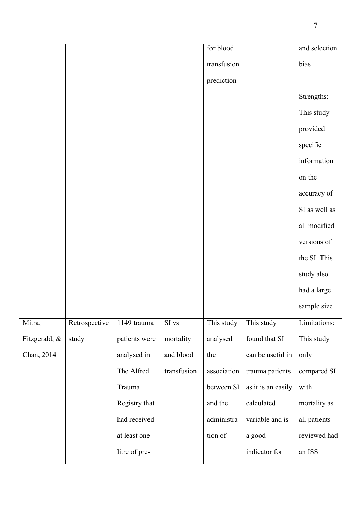|               |               |               |             | for blood   |                    | and selection |
|---------------|---------------|---------------|-------------|-------------|--------------------|---------------|
|               |               |               |             | transfusion |                    | bias          |
|               |               |               |             | prediction  |                    |               |
|               |               |               |             |             |                    | Strengths:    |
|               |               |               |             |             |                    | This study    |
|               |               |               |             |             |                    | provided      |
|               |               |               |             |             |                    | specific      |
|               |               |               |             |             |                    | information   |
|               |               |               |             |             |                    | on the        |
|               |               |               |             |             |                    | accuracy of   |
|               |               |               |             |             |                    | SI as well as |
|               |               |               |             |             |                    | all modified  |
|               |               |               |             |             |                    | versions of   |
|               |               |               |             |             |                    | the SI. This  |
|               |               |               |             |             |                    | study also    |
|               |               |               |             |             |                    | had a large   |
|               |               |               |             |             |                    | sample size   |
| Mitra,        | Retrospective | 1149 trauma   | SI vs       | This study  | This study         | Limitations:  |
| Fitzgerald, & | study         | patients were | mortality   | analysed    | found that SI      | This study    |
| Chan, 2014    |               | analysed in   | and blood   | the         | can be useful in   | only          |
|               |               | The Alfred    | transfusion | association | trauma patients    | compared SI   |
|               |               | Trauma        |             | between SI  | as it is an easily | with          |
|               |               | Registry that |             | and the     | calculated         | mortality as  |
|               |               | had received  |             | administra  | variable and is    | all patients  |
|               |               | at least one  |             | tion of     | a good             | reviewed had  |
|               |               | litre of pre- |             |             | indicator for      | an ISS        |
|               |               |               |             |             |                    |               |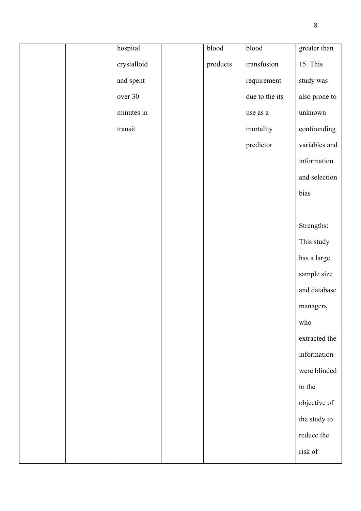| hospital    | blood    | blood          | greater than  |
|-------------|----------|----------------|---------------|
| crystalloid | products | transfusion    | 15. This      |
| and spent   |          | requirement    | study was     |
| over 30     |          | due to the its | also prone to |
| minutes in  |          | use as a       | unknown       |
| transit     |          | mortality      | confounding   |
|             |          | predictor      | variables and |
|             |          |                | information   |
|             |          |                | and selection |
|             |          |                | bias          |
|             |          |                |               |
|             |          |                | Strengths:    |
|             |          |                | This study    |
|             |          |                | has a large   |
|             |          |                | sample size   |
|             |          |                | and database  |
|             |          |                | managers      |
|             |          |                | who           |
|             |          |                | extracted the |
|             |          |                | information   |
|             |          |                | were blinded  |
|             |          |                | to the        |
|             |          |                | objective of  |
|             |          |                | the study to  |
|             |          |                | reduce the    |
|             |          |                | risk of       |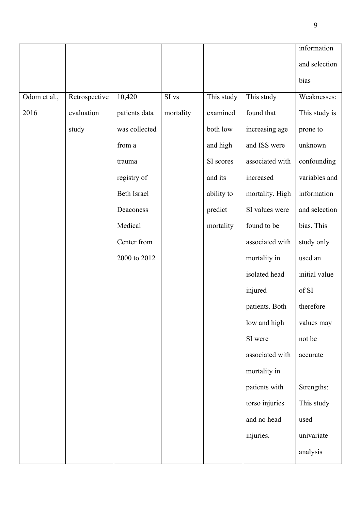|              |               |                    |           |            |                 | information   |
|--------------|---------------|--------------------|-----------|------------|-----------------|---------------|
|              |               |                    |           |            |                 | and selection |
|              |               |                    |           |            |                 | bias          |
| Odom et al., | Retrospective | 10,420             | SI vs     | This study | This study      | Weaknesses:   |
| 2016         | evaluation    | patients data      | mortality | examined   | found that      | This study is |
|              | study         | was collected      |           | both low   | increasing age  | prone to      |
|              |               | from a             |           | and high   | and ISS were    | unknown       |
|              |               | trauma             |           | SI scores  | associated with | confounding   |
|              |               | registry of        |           | and its    | increased       | variables and |
|              |               | <b>Beth Israel</b> |           | ability to | mortality. High | information   |
|              |               | Deaconess          |           | predict    | SI values were  | and selection |
|              |               | Medical            |           | mortality  | found to be     | bias. This    |
|              |               | Center from        |           |            | associated with | study only    |
|              |               | 2000 to 2012       |           |            | mortality in    | used an       |
|              |               |                    |           |            | isolated head   | initial value |
|              |               |                    |           |            | injured         | of SI         |
|              |               |                    |           |            | patients. Both  | therefore     |
|              |               |                    |           |            | low and high    | values may    |
|              |               |                    |           |            | SI were         | not be        |
|              |               |                    |           |            | associated with | accurate      |
|              |               |                    |           |            | mortality in    |               |
|              |               |                    |           |            | patients with   | Strengths:    |
|              |               |                    |           |            | torso injuries  | This study    |
|              |               |                    |           |            | and no head     | used          |
|              |               |                    |           |            | injuries.       | univariate    |
|              |               |                    |           |            |                 | analysis      |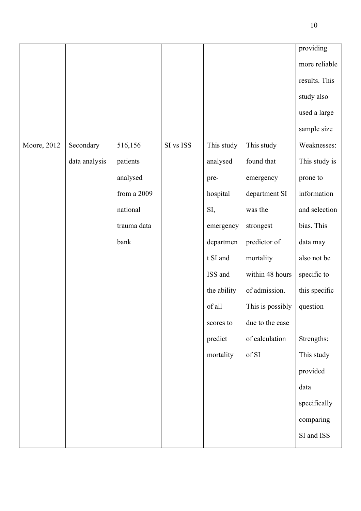|             |               |               |           |             |                  | providing     |
|-------------|---------------|---------------|-----------|-------------|------------------|---------------|
|             |               |               |           |             |                  | more reliable |
|             |               |               |           |             |                  | results. This |
|             |               |               |           |             |                  | study also    |
|             |               |               |           |             |                  | used a large  |
|             |               |               |           |             |                  | sample size   |
| Moore, 2012 | Secondary     | 516,156       | SI vs ISS | This study  | This study       | Weaknesses:   |
|             | data analysis | patients      |           | analysed    | found that       | This study is |
|             |               | analysed      |           | pre-        | emergency        | prone to      |
|             |               | from a $2009$ |           | hospital    | department SI    | information   |
|             |               | national      |           | SI,         | was the          | and selection |
|             |               | trauma data   |           | emergency   | strongest        | bias. This    |
|             |               | bank          |           | departmen   | predictor of     | data may      |
|             |               |               |           | t SI and    | mortality        | also not be   |
|             |               |               |           | ISS and     | within 48 hours  | specific to   |
|             |               |               |           | the ability | of admission.    | this specific |
|             |               |               |           | of all      | This is possibly | question      |
|             |               |               |           | scores to   | due to the ease  |               |
|             |               |               |           | predict     | of calculation   | Strengths:    |
|             |               |               |           | mortality   | of $\mathrm{SI}$ | This study    |
|             |               |               |           |             |                  | provided      |
|             |               |               |           |             |                  | data          |
|             |               |               |           |             |                  | specifically  |
|             |               |               |           |             |                  | comparing     |
|             |               |               |           |             |                  | SI and ISS    |
|             |               |               |           |             |                  |               |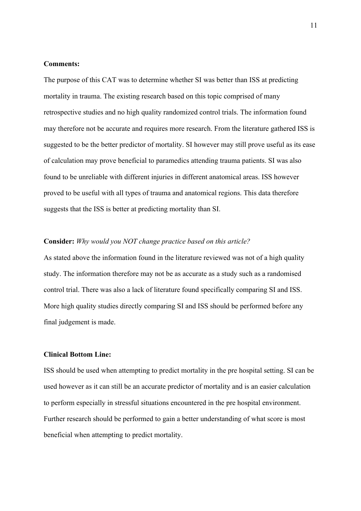### **Comments:**

The purpose of this CAT was to determine whether SI was better than ISS at predicting mortality in trauma. The existing research based on this topic comprised of many retrospective studies and no high quality randomized control trials. The information found may therefore not be accurate and requires more research. From the literature gathered ISS is suggested to be the better predictor of mortality. SI however may still prove useful as its ease of calculation may prove beneficial to paramedics attending trauma patients. SI was also found to be unreliable with different injuries in different anatomical areas. ISS however proved to be useful with all types of trauma and anatomical regions. This data therefore suggests that the ISS is better at predicting mortality than SI.

### **Consider:** *Why would you NOT change practice based on this article?*

As stated above the information found in the literature reviewed was not of a high quality study. The information therefore may not be as accurate as a study such as a randomised control trial. There was also a lack of literature found specifically comparing SI and ISS. More high quality studies directly comparing SI and ISS should be performed before any final judgement is made.

#### **Clinical Bottom Line:**

ISS should be used when attempting to predict mortality in the pre hospital setting. SI can be used however as it can still be an accurate predictor of mortality and is an easier calculation to perform especially in stressful situations encountered in the pre hospital environment. Further research should be performed to gain a better understanding of what score is most beneficial when attempting to predict mortality.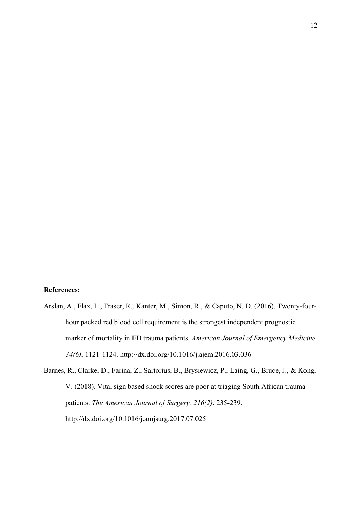## **References:**

Arslan, A., Flax, L., Fraser, R., Kanter, M., Simon, R., & Caputo, N. D. (2016). Twenty-fourhour packed red blood cell requirement is the strongest independent prognostic marker of mortality in ED trauma patients. *American Journal of Emergency Medicine, 34(6)*, 1121-1124. http://dx.doi.org/10.1016/j.ajem.2016.03.036

Barnes, R., Clarke, D., Farina, Z., Sartorius, B., Brysiewicz, P., Laing, G., Bruce, J., & Kong, V. (2018). Vital sign based shock scores are poor at triaging South African trauma patients. *The American Journal of Surgery, 216(2)*, 235-239. http://dx.doi.org/10.1016/j.amjsurg.2017.07.025